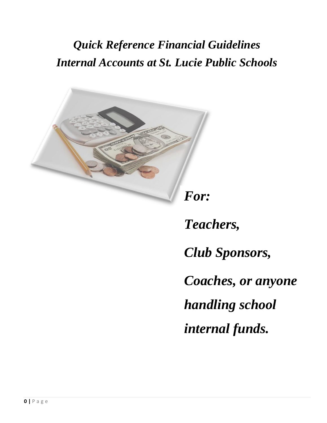# *Quick Reference Financial Guidelines Internal Accounts at St. Lucie Public Schools*



*Teachers, Club Sponsors, Coaches, or anyone handling school internal funds.*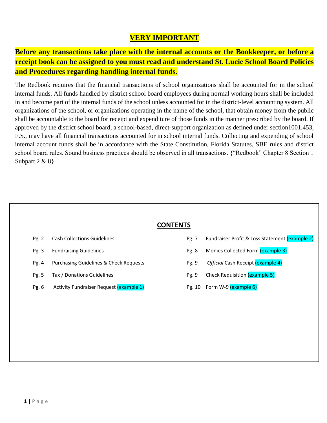# **VERY IMPORTANT**

**Before any transactions take place with the internal accounts or the Bookkeeper, or before a receipt book can be assigned to you must read and understand St. Lucie School Board Policies and Procedures regarding handling internal funds.** 

The Redbook requires that the financial transactions of school organizations shall be accounted for in the school internal funds. All funds handled by district school board employees during normal working hours shall be included in and become part of the internal funds of the school unless accounted for in the district-level accounting system. All organizations of the school, or organizations operating in the name of the school, that obtain money from the public shall be accountable to the board for receipt and expenditure of those funds in the manner prescribed by the board. If approved by the district school board, a school-based, direct-support organization as defined under section1001.453, F.S., may have all financial transactions accounted for in school internal funds. Collecting and expending of school internal account funds shall be in accordance with the State Constitution, Florida Statutes, SBE rules and district school board rules. Sound business practices should be observed in all transactions. {"Redbook" Chapter 8 Section 1 Subpart 2 & 8 }

#### **CONTENTS**

- 
- 
- Pg. 4 Purchasing Guidelines & Check Requests
- 
- Pg. 6 Activity Fundraiser Request (example 1) Pg. 10 Form W-9 (example 6)
- Pg. 2 Cash Collections Guidelines **Automages, 1998** Pg. 7 Fundraiser Profit & Loss Statement (example 2)
- Pg. 3 Fundraising Guidelines **Any any assumption of the assumption Pg. 8** Monies Collected Form (example 3)
	- **Pg. 9** *Official* Cash Receipt (example 4) *School Board procedures that must be followed.*
- Pg. 5 Tax / Donations Guidelines **Pg. 9 Check Requisition** (example 5)
	-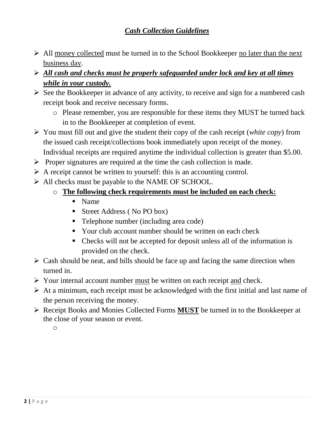# *Cash Collection Guidelines*

- $\triangleright$  All money collected must be turned in to the School Bookkeeper no later than the next business day.
- *All cash and checks must be properly safeguarded under lock and key at all times while in your custody.*
- $\triangleright$  See the Bookkeeper in advance of any activity, to receive and sign for a numbered cash receipt book and receive necessary forms.
	- o Please remember, you are responsible for these items they MUST be turned back in to the Bookkeeper at completion of event.
- You must fill out and give the student their copy of the cash receipt (*white copy*) from the issued cash receipt/collections book immediately upon receipt of the money. Individual receipts are required anytime the individual collection is greater than \$5.00.
- $\triangleright$  Proper signatures are required at the time the cash collection is made.
- $\triangleright$  A receipt cannot be written to yourself: this is an accounting control.
- All checks must be payable to the NAME OF SCHOOL.
	- o **The following check requirements must be included on each check:**
		- Name
		- Street Address ( No PO box)
		- Telephone number (including area code)
		- Your club account number should be written on each check
		- Checks will not be accepted for deposit unless all of the information is provided on the check.
- $\triangleright$  Cash should be neat, and bills should be face up and facing the same direction when turned in.
- $\triangleright$  Your internal account number <u>must</u> be written on each receipt and check.
- $\triangleright$  At a minimum, each receipt must be acknowledged with the first initial and last name of the person receiving the money.
- Receipt Books and Monies Collected Forms **MUST** be turned in to the Bookkeeper at the close of your season or event.

o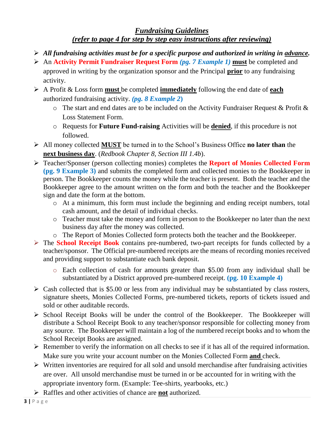### *Fundraising Guidelines (refer to page 4 for step by step easy instructions after reviewing)*

- *All fundraising activities must be for a specific purpose and authorized in writing in advance.*
- An **Activity Permit Fundraiser Request Form** *(pg. 7 Example 1)* **must** be completed and approved in writing by the organization sponsor and the Principal **prior** to any fundraising activity.
- A Profit & Loss form **must** be completed **immediately** following the end date of **each** authorized fundraising activity. *(pg. 8 Example 2***)** 
	- o The start and end dates are to be included on the Activity Fundraiser Request & Profit & Loss Statement Form.
	- o Requests for **Future Fund-raising** Activities will be **denied**, if this procedure is not followed.
- All money collected **MUST** be turned in to the School's Business Office **no later than** the **next business day**. (*Redbook Chapter 8, Section III 1.4b*).
- Teacher/Sponser (person collecting monies) completes the **Report of Monies Collected Form (pg. 9 Example 3)** and submits the completed form and collected monies to the Bookkeeper in person. The Bookkeeper counts the money while the teacher is present. Both the teacher and the Bookkeeper agree to the amount written on the form and both the teacher and the Bookkeeper sign and date the form at the bottom.
	- o At a minimum, this form must include the beginning and ending receipt numbers, total cash amount, and the detail of individual checks.
	- o Teacher must take the money and form in person to the Bookkeeper no later than the next business day after the money was collected.
	- o The Report of Monies Collected form protects both the teacher and the Bookkeeper.
- The **School Receipt Book** contains pre-numbered, two-part receipts for funds collected by a teacher/sponsor. The Official pre-numbered receipts are the means of recording monies received and providing support to substantiate each bank deposit.
	- o Each collection of cash for amounts greater than \$5.00 from any individual shall be substantiated by a District approved pre-numbered receipt. **(pg. 10 Example 4)**
- $\triangleright$  Cash collected that is \$5.00 or less from any individual may be substantiated by class rosters, signature sheets, Monies Collected Forms, pre-numbered tickets, reports of tickets issued and sold or other auditable records.
- $\triangleright$  School Receipt Books will be under the control of the Bookkeeper. The Bookkeeper will distribute a School Receipt Book to any teacher/sponsor responsible for collecting money from any source. The Bookkeeper will maintain a log of the numbered receipt books and to whom the School Receipt Books are assigned.
- $\triangleright$  Remember to verify the information on all checks to see if it has all of the required information. Make sure you write your account number on the Monies Collected Form **and** check.
- $\triangleright$  Written inventories are required for all sold and unsold merchandise after fundraising activities are over. All unsold merchandise must be turned in or be accounted for in writing with the appropriate inventory form. (Example: Tee-shirts, yearbooks, etc.)
- Raffles and other activities of chance are **not** authorized.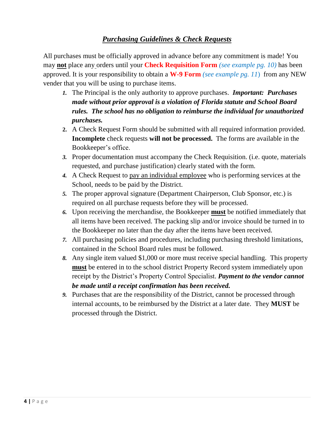## *Purchasing Guidelines & Check Requests*

All purchases must be officially approved in advance before any commitment is made! You may **not** place any orders until your **Check Requisition Form** *(see example pg. 10)* has been approved. It is your responsibility to obtain a **W-9 Form** *(see example pg. 11*) from any NEW vender that you will be using to purchase items.

- *1.* The Principal is the only authority to approve purchases. *Important: Purchases made without prior approval is a violation of Florida statute and School Board rules. The school has no obligation to reimburse the individual for unauthorized purchases.*
- **2.** A Check Request Form should be submitted with all required information provided. **Incomplete** check requests **will not be processed.** The forms are available in the Bookkeeper's office.
- *3.* Proper documentation must accompany the Check Requisition. (i.e. quote, materials requested, and purchase justification) clearly stated with the form.
- *4.* A Check Request to pay an individual employee who is performing services at the School, needs to be paid by the District.
- *5.* The proper approval signature (Department Chairperson, Club Sponsor, etc.) is required on all purchase requests before they will be processed.
- *6.* Upon receiving the merchandise, the Bookkeeper **must** be notified immediately that all items have been received. The packing slip and/or invoice should be turned in to the Bookkeeper no later than the day after the items have been received.
- *7.* All purchasing policies and procedures, including purchasing threshold limitations, contained in the School Board rules must be followed.
- *8.* Any single item valued \$1,000 or more must receive special handling. This property **must** be entered in to the school district Property Record system immediately upon receipt by the District's Property Control Specialist. *Payment to the vendor cannot be made until a receipt confirmation has been received.*
- *9.* Purchases that are the responsibility of the District, cannot be processed through internal accounts, to be reimbursed by the District at a later date. They **MUST** be processed through the District.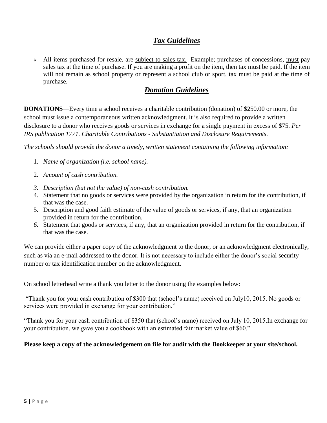# *Tax Guidelines*

All items purchased for resale, are subject to sales tax. Example; purchases of concessions, must pay sales tax at the time of purchase. If you are making a profit on the item, then tax must be paid. If the item will not remain as school property or represent a school club or sport, tax must be paid at the time of purchase.

### *Donation Guidelines*

**DONATIONS**—Every time a school receives a charitable contribution (donation) of \$250.00 or more, the school must issue a contemporaneous written acknowledgment. It is also required to provide a written disclosure to a donor who receives goods or services in exchange for a single payment in excess of \$75*. Per IRS publication 1771. Charitable Contributions - Substantiation and Disclosure Requirements.*

*The schools should provide the donor a timely, written statement containing the following information:* 

- 1. *Name of organization (i.e. school name).*
- 2. *Amount of cash contribution.*
- *3. Description (but not the value) of non-cash contribution.*
- 4. Statement that no goods or services were provided by the organization in return for the contribution, if that was the case.
- 5. Description and good faith estimate of the value of goods or services, if any, that an organization provided in return for the contribution.
- *6.* Statement that goods or services, if any, that an organization provided in return for the contribution, if that was the case.

We can provide either a paper copy of the acknowledgment to the donor, or an acknowledgment electronically, such as via an e-mail addressed to the donor. It is not necessary to include either the donor's social security number or tax identification number on the acknowledgment.

On school letterhead write a thank you letter to the donor using the examples below:

"Thank you for your cash contribution of \$300 that (school's name) received on July10, 2015. No goods or services were provided in exchange for your contribution."

"Thank you for your cash contribution of \$350 that (school's name) received on July 10, 2015.In exchange for your contribution, we gave you a cookbook with an estimated fair market value of \$60."

#### **Please keep a copy of the acknowledgement on file for audit with the Bookkeeper at your site/school.**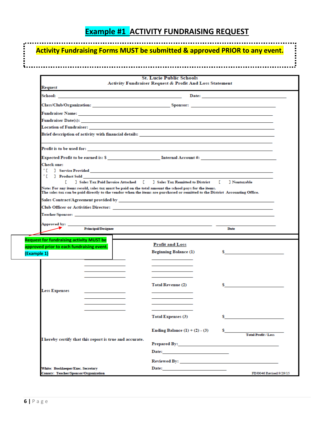# **Example #1 ACTIVITY FUNDRAISING REQUEST**

|                                                                                                                                                                                                                                       | <b>Activity Fundraising Forms MUST be submitted &amp; approved PRIOR to any event.</b>                                                                                                                                         |                            |  |  |  |
|---------------------------------------------------------------------------------------------------------------------------------------------------------------------------------------------------------------------------------------|--------------------------------------------------------------------------------------------------------------------------------------------------------------------------------------------------------------------------------|----------------------------|--|--|--|
|                                                                                                                                                                                                                                       | <b>St. Lucie Public Schools</b>                                                                                                                                                                                                |                            |  |  |  |
| Request                                                                                                                                                                                                                               | Activity Fundraiser Request & Profit And Loss Statement                                                                                                                                                                        |                            |  |  |  |
|                                                                                                                                                                                                                                       |                                                                                                                                                                                                                                |                            |  |  |  |
|                                                                                                                                                                                                                                       |                                                                                                                                                                                                                                |                            |  |  |  |
|                                                                                                                                                                                                                                       |                                                                                                                                                                                                                                |                            |  |  |  |
| <b>Fundraiser Date(s):</b>                                                                                                                                                                                                            |                                                                                                                                                                                                                                |                            |  |  |  |
|                                                                                                                                                                                                                                       |                                                                                                                                                                                                                                |                            |  |  |  |
| Brief description of activity with financial details:                                                                                                                                                                                 |                                                                                                                                                                                                                                |                            |  |  |  |
|                                                                                                                                                                                                                                       |                                                                                                                                                                                                                                |                            |  |  |  |
|                                                                                                                                                                                                                                       |                                                                                                                                                                                                                                |                            |  |  |  |
| Check one:                                                                                                                                                                                                                            |                                                                                                                                                                                                                                |                            |  |  |  |
| '[] Product Sold                                                                                                                                                                                                                      |                                                                                                                                                                                                                                |                            |  |  |  |
| ] Sales Tax Paid Invoice Attached [<br>r.                                                                                                                                                                                             | <b>J</b> Sales Tax Remitted to District                                                                                                                                                                                        | ] Nontaxable<br>T.         |  |  |  |
| Note: For any items resold, sales tax must be paid on the total amount the school pays for the items.<br>The sales tax can be paid directly to the vendor when the items are purchased or remitted to the District Accounting Office. |                                                                                                                                                                                                                                |                            |  |  |  |
|                                                                                                                                                                                                                                       |                                                                                                                                                                                                                                |                            |  |  |  |
|                                                                                                                                                                                                                                       |                                                                                                                                                                                                                                |                            |  |  |  |
|                                                                                                                                                                                                                                       |                                                                                                                                                                                                                                |                            |  |  |  |
|                                                                                                                                                                                                                                       |                                                                                                                                                                                                                                |                            |  |  |  |
| <b>Principal/Designee</b>                                                                                                                                                                                                             |                                                                                                                                                                                                                                | Date                       |  |  |  |
| <b>Request for fundraising activity MUST be</b>                                                                                                                                                                                       |                                                                                                                                                                                                                                |                            |  |  |  |
| approved prior to each fundraising event.                                                                                                                                                                                             | <b>Profit and Loss</b>                                                                                                                                                                                                         |                            |  |  |  |
| (Example 1)                                                                                                                                                                                                                           | <b>Beginning Balance (1)</b>                                                                                                                                                                                                   | s                          |  |  |  |
|                                                                                                                                                                                                                                       |                                                                                                                                                                                                                                |                            |  |  |  |
|                                                                                                                                                                                                                                       |                                                                                                                                                                                                                                |                            |  |  |  |
|                                                                                                                                                                                                                                       |                                                                                                                                                                                                                                |                            |  |  |  |
|                                                                                                                                                                                                                                       | <b>Total Revenue (2)</b>                                                                                                                                                                                                       | s                          |  |  |  |
| Less Expenses                                                                                                                                                                                                                         |                                                                                                                                                                                                                                |                            |  |  |  |
|                                                                                                                                                                                                                                       |                                                                                                                                                                                                                                |                            |  |  |  |
|                                                                                                                                                                                                                                       |                                                                                                                                                                                                                                |                            |  |  |  |
|                                                                                                                                                                                                                                       |                                                                                                                                                                                                                                |                            |  |  |  |
|                                                                                                                                                                                                                                       | <b>Total Expenses (3)</b>                                                                                                                                                                                                      | s                          |  |  |  |
|                                                                                                                                                                                                                                       |                                                                                                                                                                                                                                |                            |  |  |  |
|                                                                                                                                                                                                                                       | Ending Balance $(1) + (2) - (3)$                                                                                                                                                                                               |                            |  |  |  |
|                                                                                                                                                                                                                                       |                                                                                                                                                                                                                                | <b>Total Profit / Loss</b> |  |  |  |
| I hereby certify that this report is true and accurate.                                                                                                                                                                               |                                                                                                                                                                                                                                |                            |  |  |  |
|                                                                                                                                                                                                                                       |                                                                                                                                                                                                                                |                            |  |  |  |
|                                                                                                                                                                                                                                       | Date: the contract of the contract of the contract of the contract of the contract of the contract of the contract of the contract of the contract of the contract of the contract of the contract of the contract of the cont |                            |  |  |  |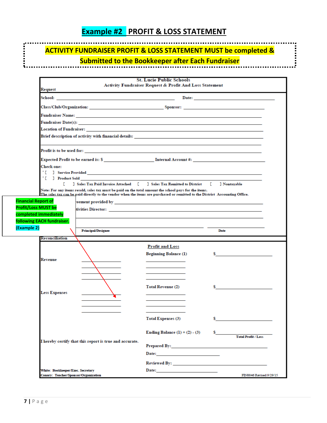# **Example #2 PROFIT & LOSS STATEMENT**

# **ACTIVITY FUNDRAISER PROFIT & LOSS STATEMENT MUST be completed &**

# **EXECUTE:**<br>**REPORTS SUBMItted to the Bookkeeper after Each Fundraiser**

|                                                                                                                                                                                                                                      | <b>St. Lucie Public Schools</b>                         |                                          |
|--------------------------------------------------------------------------------------------------------------------------------------------------------------------------------------------------------------------------------------|---------------------------------------------------------|------------------------------------------|
| Request                                                                                                                                                                                                                              | Activity Fundraiser Request & Profit And Loss Statement |                                          |
| School: <u>Andreas and American and American and American and American and American and American and American and American and American and American and American and American and American and American and American and Americ</u> |                                                         |                                          |
|                                                                                                                                                                                                                                      |                                                         |                                          |
| Class/Club/Organization: Sponsor: Sponsor: Sponsor: Sponsor: Sponsor: Sponsor: Sponsor: Sponsor: Sponsor: Sponsor: Sponsor: Sponsor: Sponsor: Sponsor: Sponsor: Sponsor: Sponsor: Sponsor: Sponsor: Sponsor: Sponsor: Sponsor:       |                                                         |                                          |
|                                                                                                                                                                                                                                      |                                                         |                                          |
|                                                                                                                                                                                                                                      |                                                         |                                          |
|                                                                                                                                                                                                                                      |                                                         |                                          |
|                                                                                                                                                                                                                                      |                                                         |                                          |
|                                                                                                                                                                                                                                      |                                                         |                                          |
|                                                                                                                                                                                                                                      |                                                         |                                          |
| Check one:                                                                                                                                                                                                                           |                                                         |                                          |
|                                                                                                                                                                                                                                      |                                                         |                                          |
| '[] Product Sold                                                                                                                                                                                                                     |                                                         |                                          |
| 1 Sales Tax Paid Invoice Attached [ 1 Sales Tax Remitted to District<br>r.<br>Note: For any items resold, sales tax must be paid on the total amount the school pays for the items.                                                  |                                                         | T.<br>] Nontaxable                       |
| The sales tax can be paid directly to the vendor when the items are purchased or remitted to the District Accounting Office.                                                                                                         |                                                         |                                          |
| <b>Financial Report of</b>                                                                                                                                                                                                           |                                                         |                                          |
| <b>Profit/Loss MUST be</b>                                                                                                                                                                                                           |                                                         |                                          |
| completed immediately                                                                                                                                                                                                                |                                                         |                                          |
| following EACH fundraiser.                                                                                                                                                                                                           |                                                         |                                          |
| (Example 2)<br><b>Principal/Designee</b>                                                                                                                                                                                             |                                                         | Date                                     |
| Reconciliation                                                                                                                                                                                                                       |                                                         |                                          |
|                                                                                                                                                                                                                                      | <b>Profit and Loss</b>                                  |                                          |
|                                                                                                                                                                                                                                      |                                                         |                                          |
|                                                                                                                                                                                                                                      | <b>Beginning Balance (1)</b>                            | $\mathbf{s}$ and the set of $\mathbf{s}$ |
| Revenue                                                                                                                                                                                                                              |                                                         |                                          |
|                                                                                                                                                                                                                                      |                                                         |                                          |
|                                                                                                                                                                                                                                      |                                                         |                                          |
|                                                                                                                                                                                                                                      |                                                         |                                          |
|                                                                                                                                                                                                                                      | <b>Total Revenue (2)</b>                                | s.                                       |
| <b>Less Expenses</b>                                                                                                                                                                                                                 |                                                         |                                          |
|                                                                                                                                                                                                                                      |                                                         |                                          |
|                                                                                                                                                                                                                                      |                                                         |                                          |
|                                                                                                                                                                                                                                      | <b>Total Expenses (3)</b>                               | s                                        |
|                                                                                                                                                                                                                                      |                                                         |                                          |
|                                                                                                                                                                                                                                      | Ending Balance $(1) + (2) - (3)$                        |                                          |
| I hereby certify that this report is true and accurate.                                                                                                                                                                              |                                                         | <b>Total Profit / Loss</b>               |
|                                                                                                                                                                                                                                      | <b>Prepared By: Example 2016</b>                        |                                          |
|                                                                                                                                                                                                                                      |                                                         |                                          |
|                                                                                                                                                                                                                                      |                                                         |                                          |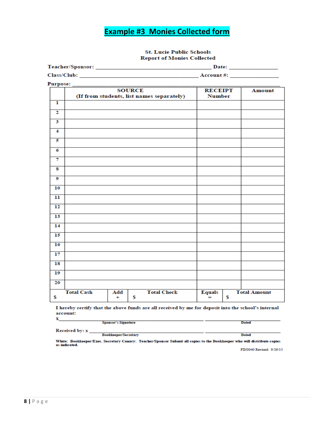# **Example #3 Monies Collected form**

#### **St. Lucie Public Schools Report of Monies Collected**

| Teacher/Sponsor: | Date:      |
|------------------|------------|
| Class/Club:      | Account #: |

Purpose:

| $\mathbf{u}$ as posed.  |                   |                  | <b>SOURCE</b> | (If from students, list names separately) | <b>RECEIPT</b><br><b>Number</b> |   | <b>Amount</b>       |
|-------------------------|-------------------|------------------|---------------|-------------------------------------------|---------------------------------|---|---------------------|
| ı                       |                   |                  |               |                                           |                                 |   |                     |
| 2                       |                   |                  |               |                                           |                                 |   |                     |
| 3                       |                   |                  |               |                                           |                                 |   |                     |
| $\overline{\mathbf{4}}$ |                   |                  |               |                                           |                                 |   |                     |
| 5                       |                   |                  |               |                                           |                                 |   |                     |
| 6                       |                   |                  |               |                                           |                                 |   |                     |
| 7                       |                   |                  |               |                                           |                                 |   |                     |
| 8                       |                   |                  |               |                                           |                                 |   |                     |
| 9                       |                   |                  |               |                                           |                                 |   |                     |
| 10                      |                   |                  |               |                                           |                                 |   |                     |
| 11                      |                   |                  |               |                                           |                                 |   |                     |
| $\overline{12}$         |                   |                  |               |                                           |                                 |   |                     |
| 13                      |                   |                  |               |                                           |                                 |   |                     |
| 14                      |                   |                  |               |                                           |                                 |   |                     |
| $\overline{15}$         |                   |                  |               |                                           |                                 |   |                     |
| 16                      |                   |                  |               |                                           |                                 |   |                     |
| 17                      |                   |                  |               |                                           |                                 |   |                     |
| 18                      |                   |                  |               |                                           |                                 |   |                     |
| 19                      |                   |                  |               |                                           |                                 |   |                     |
| 20                      |                   |                  |               |                                           |                                 |   |                     |
| \$                      | <b>Total Cash</b> | Add<br>$\ddot{}$ | \$            | <b>Total Check</b>                        | <b>Equals</b><br>$=$            | S | <b>Total Amount</b> |

I hereby certify that the above funds are all received by me for deposit into the school's internal account:  $\overline{\mathbf{x}}$ 

|                | <b>Sponsor's Signature</b>  | <b>Dated</b> |
|----------------|-----------------------------|--------------|
| Received by: x |                             |              |
|                | <b>Bookkeeper/Secretary</b> | <b>Dated</b> |

White: Bookkeeper/Exec. Secretary Canary: Teacher/Sponsor Submit all copies to the Bookkeeper who will distribute copies<br>as indicated.

FIN0040 Revised: 9/29/15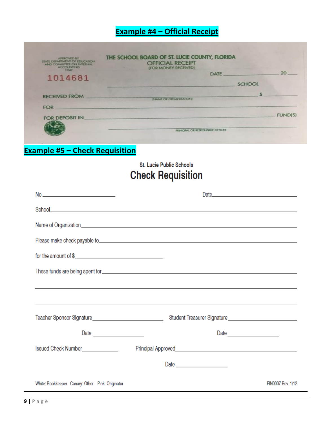# **Example #4 – Official Receipt**

|                                                 | <b>FUND(S)</b>                                |
|-------------------------------------------------|-----------------------------------------------|
|                                                 |                                               |
| IN AME OR ORGANIZATIONS                         |                                               |
|                                                 |                                               |
| <b>SCHOOL</b>                                   |                                               |
| <b>DATE</b>                                     | 20                                            |
| <b>OFFICIAL RECEIPT</b><br>(FOR MONEY RECEIVED) |                                               |
|                                                 | THE SCHOOL BOARD OF ST. LUCIE COUNTY, FLORIDA |

# **Example #5 – Check Requisition**

# St. Lucie Public Schools **Check Requisition**

| for the amount of $\frac{1}{2}$ and $\frac{1}{2}$ and $\frac{1}{2}$ and $\frac{1}{2}$ and $\frac{1}{2}$ and $\frac{1}{2}$ and $\frac{1}{2}$ and $\frac{1}{2}$ and $\frac{1}{2}$ and $\frac{1}{2}$ and $\frac{1}{2}$ and $\frac{1}{2}$ and $\frac{1}{2}$ and $\frac{1}{2}$ and $\frac{1}{2$ |                                                                                   |                   |
|--------------------------------------------------------------------------------------------------------------------------------------------------------------------------------------------------------------------------------------------------------------------------------------------|-----------------------------------------------------------------------------------|-------------------|
|                                                                                                                                                                                                                                                                                            |                                                                                   |                   |
|                                                                                                                                                                                                                                                                                            | ,我们也不能在这里的时候,我们也不能在这里的时候,我们也不能在这里的时候,我们也不能会在这里的时候,我们也不能会在这里的时候,我们也不能会在这里的时候,我们也不能 |                   |
|                                                                                                                                                                                                                                                                                            | ,我们也不会有什么。""我们的人,我们也不会有什么?""我们的人,我们也不会有什么?""我们的人,我们也不会有什么?""我们的人,我们也不会有什么?""我们的人  |                   |
|                                                                                                                                                                                                                                                                                            |                                                                                   |                   |
|                                                                                                                                                                                                                                                                                            |                                                                                   |                   |
| Issued Check Number______________                                                                                                                                                                                                                                                          |                                                                                   |                   |
|                                                                                                                                                                                                                                                                                            |                                                                                   |                   |
| White: Bookkeeper Canary: Other Pink: Originator                                                                                                                                                                                                                                           |                                                                                   | FIN0007 Rev. 1/12 |